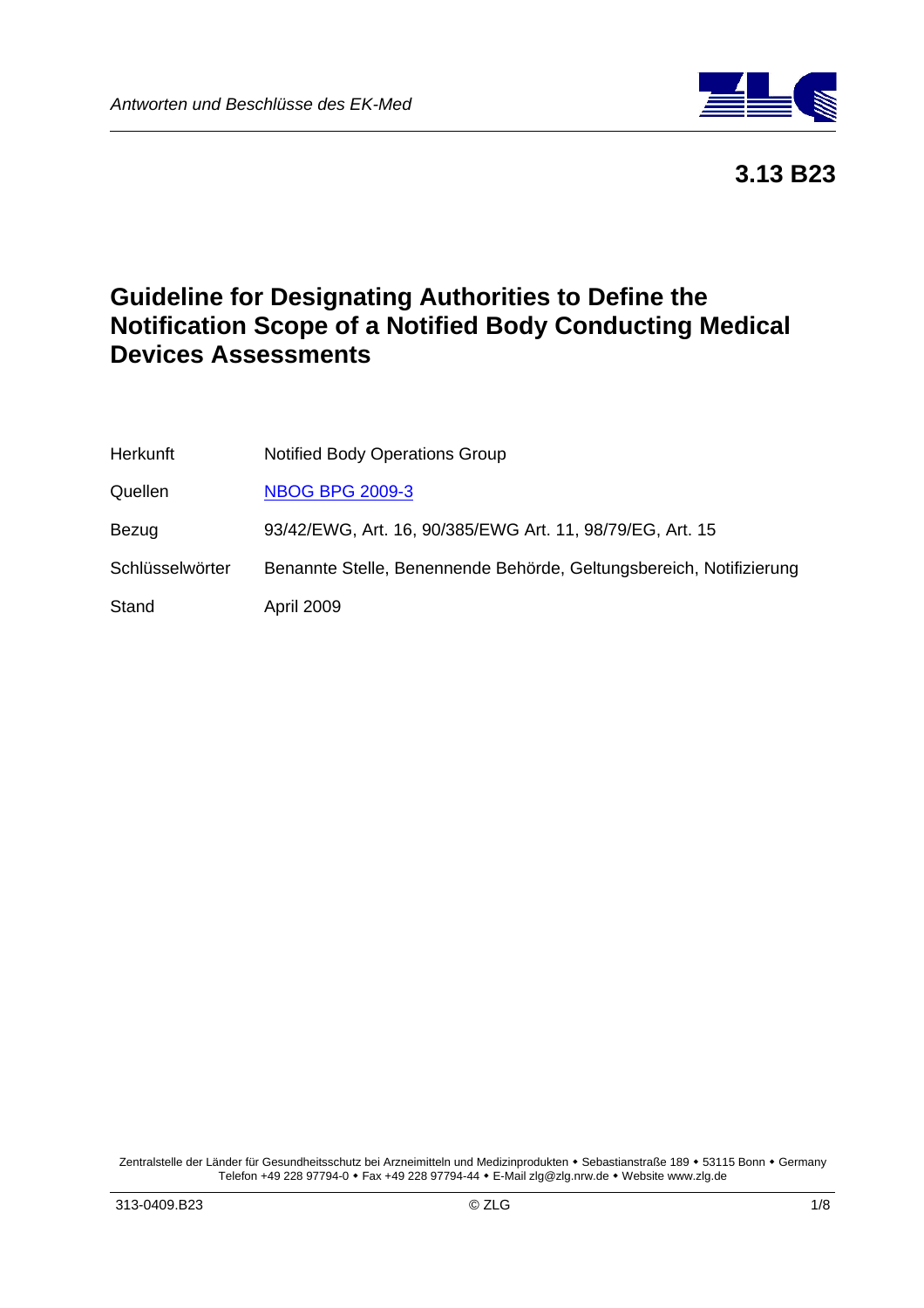

 **3.13 B23**

# **Guideline for Designating Authorities to Define the Notification Scope of a Notified Body Conducting Medical Devices Assessments**

| <b>Herkunft</b> | <b>Notified Body Operations Group</b>                               |
|-----------------|---------------------------------------------------------------------|
| Quellen         | <b>NBOG BPG 2009-3</b>                                              |
| Bezug           | 93/42/EWG, Art. 16, 90/385/EWG Art. 11, 98/79/EG, Art. 15           |
| Schlüsselwörter | Benannte Stelle, Benennende Behörde, Geltungsbereich, Notifizierung |
| Stand           | April 2009                                                          |

Zentralstelle der Länder für Gesundheitsschutz bei Arzneimitteln und Medizinprodukten • Sebastianstraße 189 • 53115 Bonn • Germany Telefon +49 228 97794-0 • Fax +49 228 97794-44 • E-Mail zlg@zlg.nrw.de • Website www.zlg.de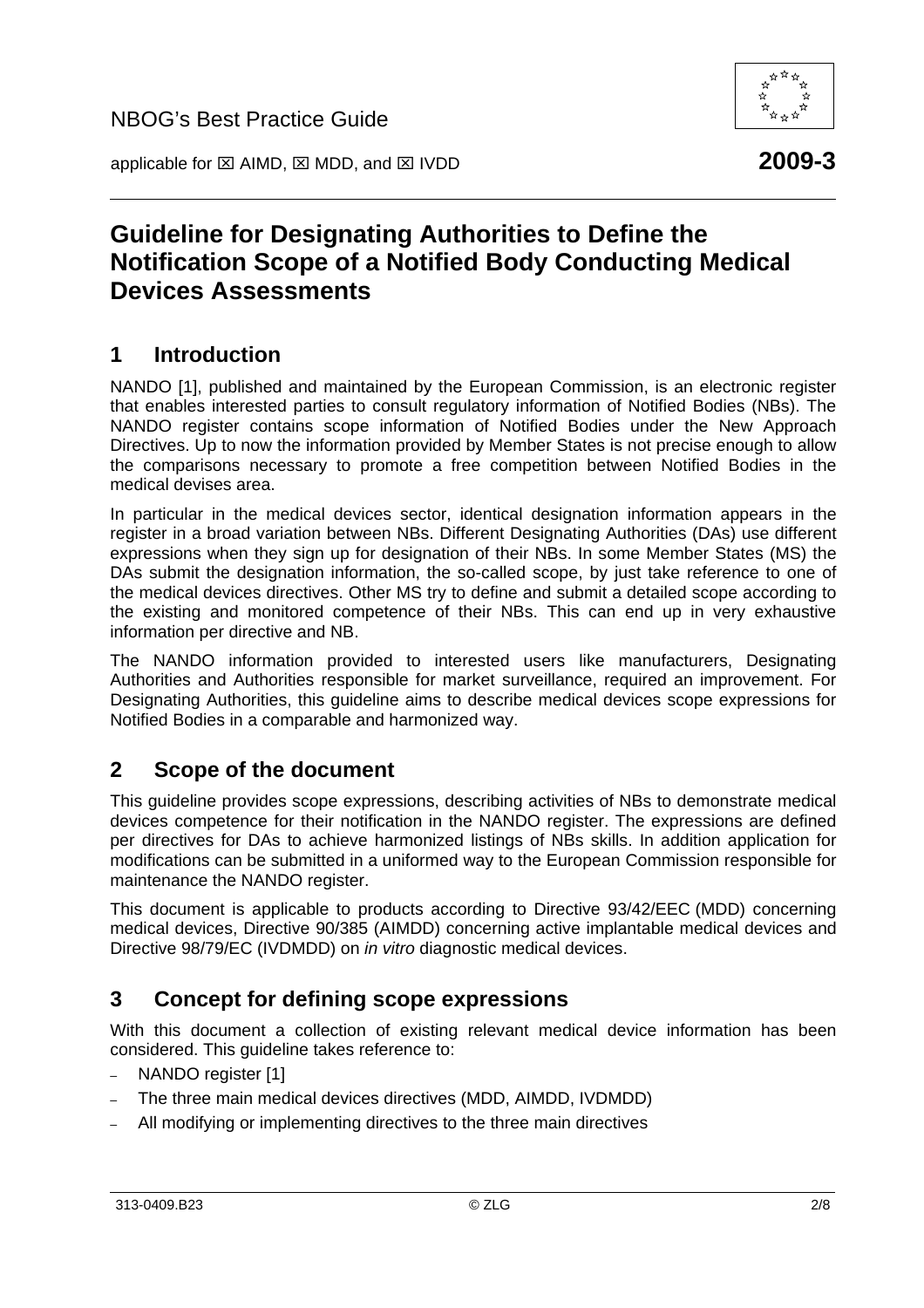applicable for ⊠ AIMD, ⊠ MDD, and ⊠ IVDD **2009-3** 

# **Guideline for Designating Authorities to Define the Notification Scope of a Notified Body Conducting Medical Devices Assessments**

## **1 Introduction**

NANDO [1], published and maintained by the European Commission, is an electronic register that enables interested parties to consult regulatory information of Notified Bodies (NBs). The NANDO register contains scope information of Notified Bodies under the New Approach Directives. Up to now the information provided by Member States is not precise enough to allow the comparisons necessary to promote a free competition between Notified Bodies in the medical devises area.

In particular in the medical devices sector, identical designation information appears in the register in a broad variation between NBs. Different Designating Authorities (DAs) use different expressions when they sign up for designation of their NBs. In some Member States (MS) the DAs submit the designation information, the so-called scope, by just take reference to one of the medical devices directives. Other MS try to define and submit a detailed scope according to the existing and monitored competence of their NBs. This can end up in very exhaustive information per directive and NB.

The NANDO information provided to interested users like manufacturers, Designating Authorities and Authorities responsible for market surveillance, required an improvement. For Designating Authorities, this guideline aims to describe medical devices scope expressions for Notified Bodies in a comparable and harmonized way.

## **2 Scope of the document**

This guideline provides scope expressions, describing activities of NBs to demonstrate medical devices competence for their notification in the NANDO register. The expressions are defined per directives for DAs to achieve harmonized listings of NBs skills. In addition application for modifications can be submitted in a uniformed way to the European Commission responsible for maintenance the NANDO register.

This document is applicable to products according to Directive 93/42/EEC (MDD) concerning medical devices, Directive 90/385 (AIMDD) concerning active implantable medical devices and Directive 98/79/EC (IVDMDD) on *in vitro* diagnostic medical devices.

## **3 Concept for defining scope expressions**

With this document a collection of existing relevant medical device information has been considered. This guideline takes reference to:

- NANDO register [1]
- The three main medical devices directives (MDD, AIMDD, IVDMDD)
- All modifying or implementing directives to the three main directives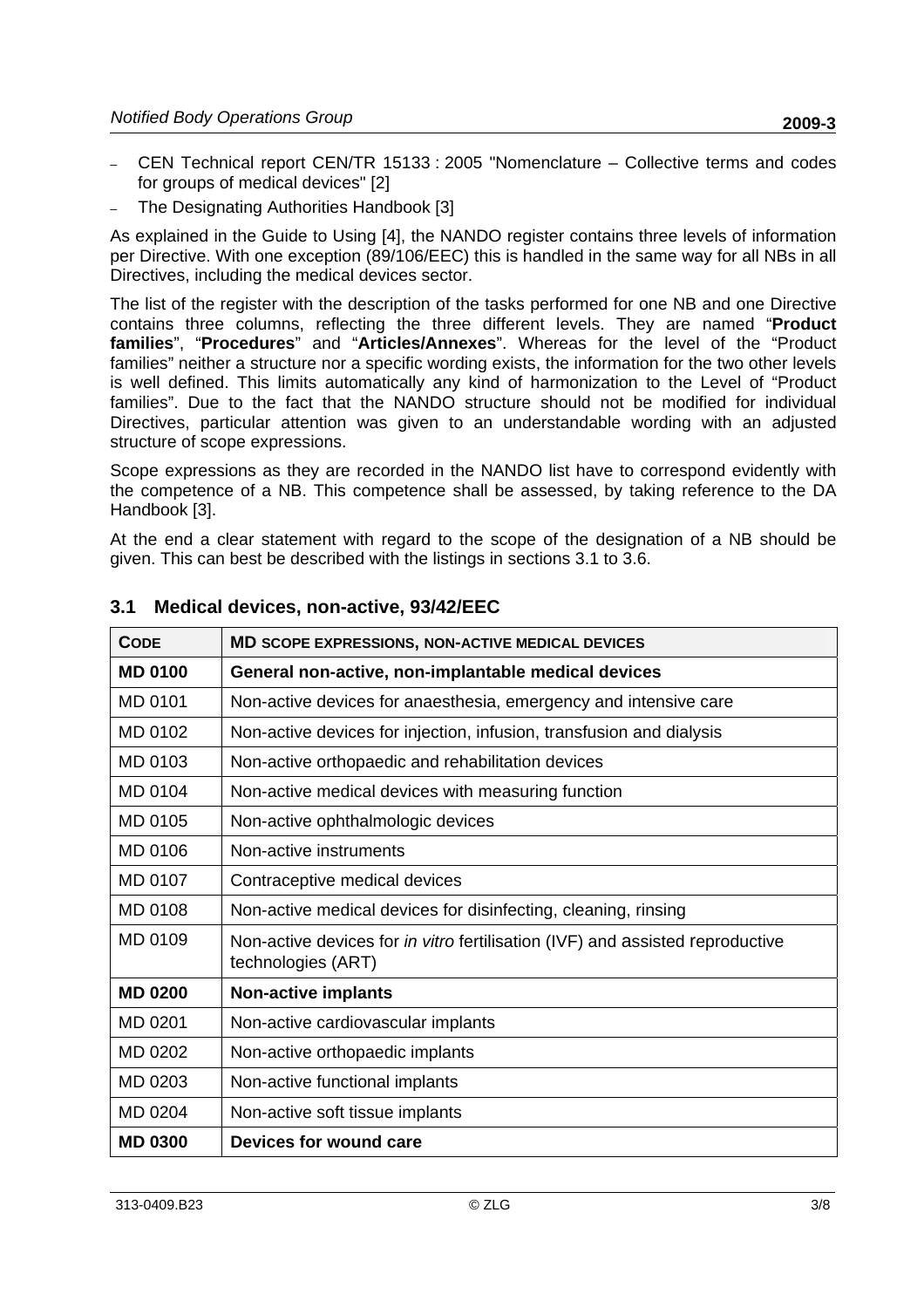- CEN Technical report CEN/TR 15133 : 2005 "Nomenclature Collective terms and codes for groups of medical devices" [2]
- The Designating Authorities Handbook [3]

As explained in the Guide to Using [4], the NANDO register contains three levels of information per Directive. With one exception (89/106/EEC) this is handled in the same way for all NBs in all Directives, including the medical devices sector.

The list of the register with the description of the tasks performed for one NB and one Directive contains three columns, reflecting the three different levels. They are named "**Product families**", "**Procedures**" and "**Articles/Annexes**". Whereas for the level of the "Product families" neither a structure nor a specific wording exists, the information for the two other levels is well defined. This limits automatically any kind of harmonization to the Level of "Product families". Due to the fact that the NANDO structure should not be modified for individual Directives, particular attention was given to an understandable wording with an adjusted structure of scope expressions.

Scope expressions as they are recorded in the NANDO list have to correspond evidently with the competence of a NB. This competence shall be assessed, by taking reference to the DA Handbook [3].

At the end a clear statement with regard to the scope of the designation of a NB should be given. This can best be described with the listings in sections 3.1 to 3.6.

| <b>CODE</b>    | <b>MD SCOPE EXPRESSIONS, NON-ACTIVE MEDICAL DEVICES</b>                                                    |
|----------------|------------------------------------------------------------------------------------------------------------|
| <b>MD 0100</b> | General non-active, non-implantable medical devices                                                        |
| <b>MD 0101</b> | Non-active devices for anaesthesia, emergency and intensive care                                           |
| MD 0102        | Non-active devices for injection, infusion, transfusion and dialysis                                       |
| MD 0103        | Non-active orthopaedic and rehabilitation devices                                                          |
| MD 0104        | Non-active medical devices with measuring function                                                         |
| MD 0105        | Non-active ophthalmologic devices                                                                          |
| MD 0106        | Non-active instruments                                                                                     |
| MD 0107        | Contraceptive medical devices                                                                              |
| MD 0108        | Non-active medical devices for disinfecting, cleaning, rinsing                                             |
| MD 0109        | Non-active devices for <i>in vitro</i> fertilisation (IVF) and assisted reproductive<br>technologies (ART) |
| <b>MD 0200</b> | <b>Non-active implants</b>                                                                                 |
| MD 0201        | Non-active cardiovascular implants                                                                         |
| MD 0202        | Non-active orthopaedic implants                                                                            |
| MD 0203        | Non-active functional implants                                                                             |
| MD 0204        | Non-active soft tissue implants                                                                            |
| <b>MD 0300</b> | Devices for wound care                                                                                     |

#### **3.1 Medical devices, non-active, 93/42/EEC**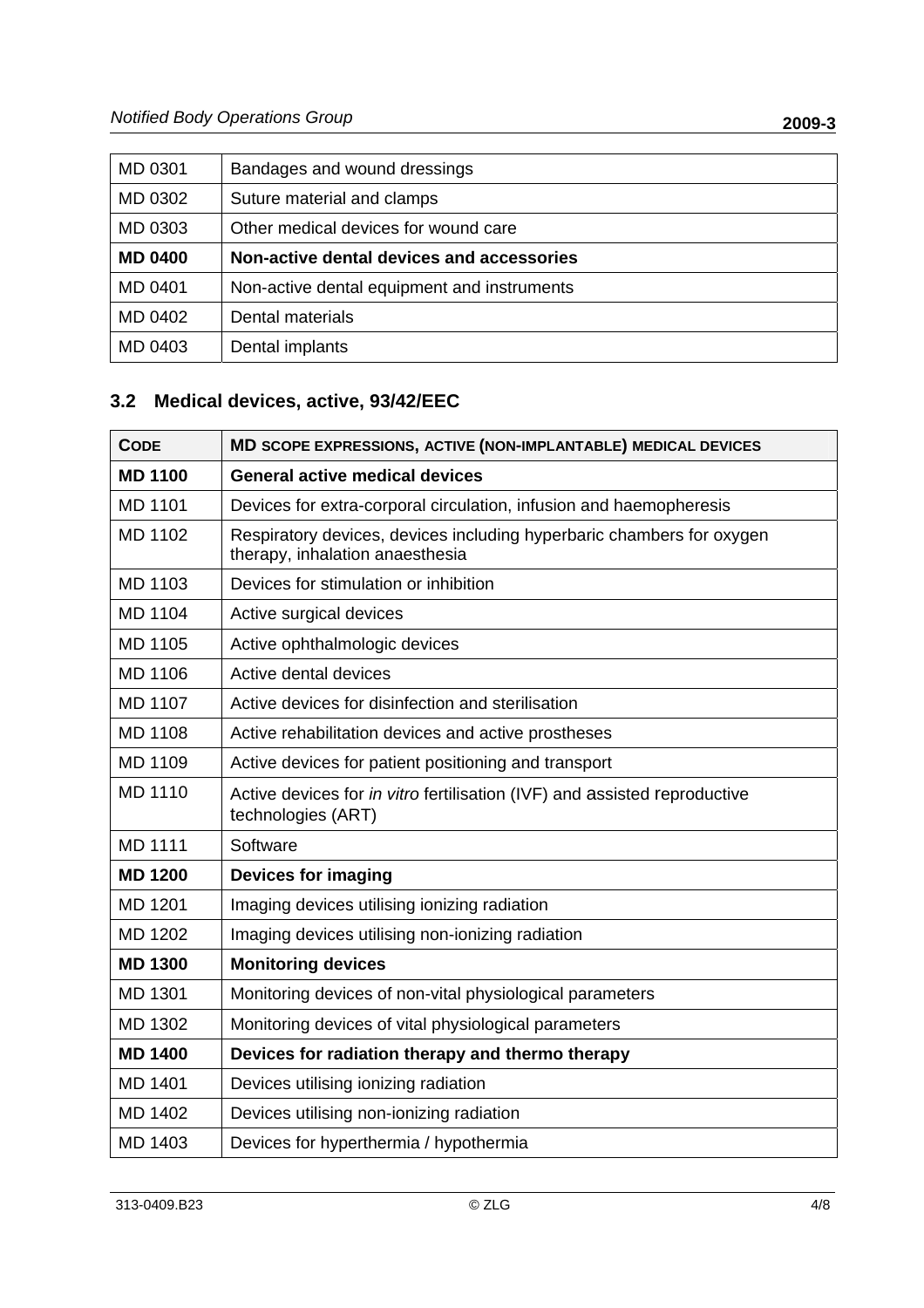| MD 0301        | Bandages and wound dressings                |
|----------------|---------------------------------------------|
| MD 0302        | Suture material and clamps                  |
| MD 0303        | Other medical devices for wound care        |
| <b>MD 0400</b> | Non-active dental devices and accessories   |
| MD 0401        | Non-active dental equipment and instruments |
| MD 0402        | Dental materials                            |
| MD 0403        | Dental implants                             |

## **3.2 Medical devices, active, 93/42/EEC**

| <b>CODE</b>    | MD SCOPE EXPRESSIONS, ACTIVE (NON-IMPLANTABLE) MEDICAL DEVICES                                           |
|----------------|----------------------------------------------------------------------------------------------------------|
| <b>MD 1100</b> | <b>General active medical devices</b>                                                                    |
| <b>MD 1101</b> | Devices for extra-corporal circulation, infusion and haemopheresis                                       |
| <b>MD 1102</b> | Respiratory devices, devices including hyperbaric chambers for oxygen<br>therapy, inhalation anaesthesia |
| MD 1103        | Devices for stimulation or inhibition                                                                    |
| MD 1104        | Active surgical devices                                                                                  |
| MD 1105        | Active ophthalmologic devices                                                                            |
| <b>MD 1106</b> | Active dental devices                                                                                    |
| <b>MD 1107</b> | Active devices for disinfection and sterilisation                                                        |
| <b>MD 1108</b> | Active rehabilitation devices and active prostheses                                                      |
| MD 1109        | Active devices for patient positioning and transport                                                     |
| <b>MD 1110</b> | Active devices for in vitro fertilisation (IVF) and assisted reproductive<br>technologies (ART)          |
| <b>MD 1111</b> | Software                                                                                                 |
| <b>MD 1200</b> | <b>Devices for imaging</b>                                                                               |
| MD 1201        | Imaging devices utilising ionizing radiation                                                             |
| MD 1202        | Imaging devices utilising non-ionizing radiation                                                         |
| <b>MD 1300</b> | <b>Monitoring devices</b>                                                                                |
| MD 1301        | Monitoring devices of non-vital physiological parameters                                                 |
| MD 1302        | Monitoring devices of vital physiological parameters                                                     |
| <b>MD 1400</b> | Devices for radiation therapy and thermo therapy                                                         |
| <b>MD 1401</b> | Devices utilising ionizing radiation                                                                     |
| MD 1402        | Devices utilising non-ionizing radiation                                                                 |
| MD 1403        | Devices for hyperthermia / hypothermia                                                                   |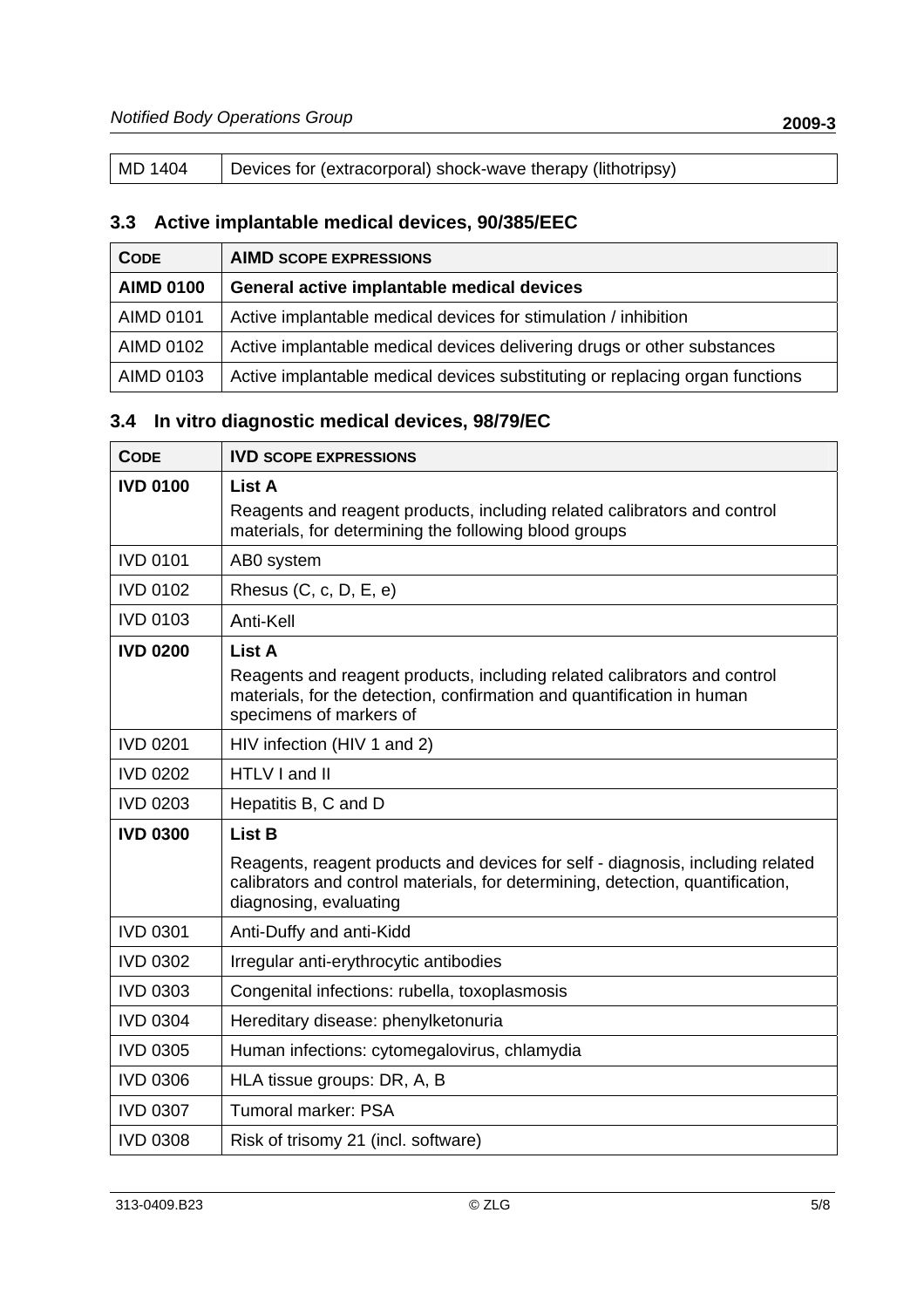| MD 1404 | Devices for (extracorporal) shock-wave therapy (lithotripsy) |
|---------|--------------------------------------------------------------|
|---------|--------------------------------------------------------------|

## **3.3 Active implantable medical devices, 90/385/EEC**

| <b>CODE</b>      | <b>AIMD SCOPE EXPRESSIONS</b>                                                |
|------------------|------------------------------------------------------------------------------|
| <b>AIMD 0100</b> | General active implantable medical devices                                   |
| <b>AIMD 0101</b> | Active implantable medical devices for stimulation / inhibition              |
| <b>AIMD 0102</b> | Active implantable medical devices delivering drugs or other substances      |
| AIMD 0103        | Active implantable medical devices substituting or replacing organ functions |

## **3.4 In vitro diagnostic medical devices, 98/79/EC**

| <b>CODE</b>     | <b>IVD SCOPE EXPRESSIONS</b>                                                                                                                                                               |
|-----------------|--------------------------------------------------------------------------------------------------------------------------------------------------------------------------------------------|
| <b>IVD 0100</b> | List A<br>Reagents and reagent products, including related calibrators and control<br>materials, for determining the following blood groups                                                |
| <b>IVD 0101</b> | AB0 system                                                                                                                                                                                 |
| <b>IVD 0102</b> | Rhesus (C, c, D, E, e)                                                                                                                                                                     |
| <b>IVD 0103</b> | Anti-Kell                                                                                                                                                                                  |
| <b>IVD 0200</b> | List A<br>Reagents and reagent products, including related calibrators and control<br>materials, for the detection, confirmation and quantification in human<br>specimens of markers of    |
| <b>IVD 0201</b> | HIV infection (HIV 1 and 2)                                                                                                                                                                |
| <b>IVD 0202</b> | HTLV I and II                                                                                                                                                                              |
| <b>IVD 0203</b> | Hepatitis B, C and D                                                                                                                                                                       |
| <b>IVD 0300</b> | <b>List B</b>                                                                                                                                                                              |
|                 | Reagents, reagent products and devices for self - diagnosis, including related<br>calibrators and control materials, for determining, detection, quantification,<br>diagnosing, evaluating |
| <b>IVD 0301</b> | Anti-Duffy and anti-Kidd                                                                                                                                                                   |
| <b>IVD 0302</b> | Irregular anti-erythrocytic antibodies                                                                                                                                                     |
| <b>IVD 0303</b> | Congenital infections: rubella, toxoplasmosis                                                                                                                                              |
| <b>IVD 0304</b> | Hereditary disease: phenylketonuria                                                                                                                                                        |
| <b>IVD 0305</b> | Human infections: cytomegalovirus, chlamydia                                                                                                                                               |
| <b>IVD 0306</b> | HLA tissue groups: DR, A, B                                                                                                                                                                |
| <b>IVD 0307</b> | <b>Tumoral marker: PSA</b>                                                                                                                                                                 |
| <b>IVD 0308</b> | Risk of trisomy 21 (incl. software)                                                                                                                                                        |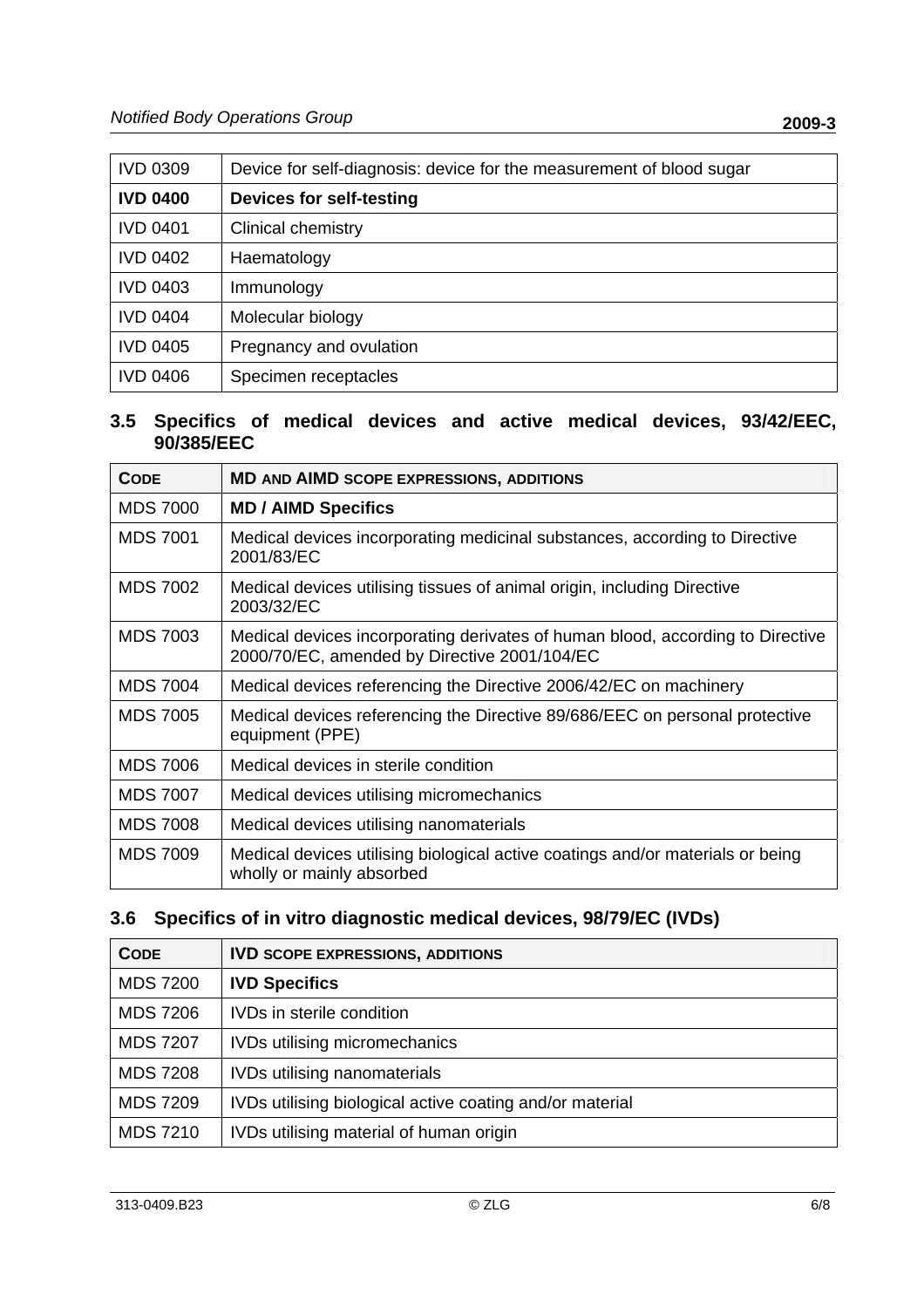| <b>IVD 0309</b> | Device for self-diagnosis: device for the measurement of blood sugar |
|-----------------|----------------------------------------------------------------------|
| <b>IVD 0400</b> | <b>Devices for self-testing</b>                                      |
| <b>IVD 0401</b> | <b>Clinical chemistry</b>                                            |
| <b>IVD 0402</b> | Haematology                                                          |
| <b>IVD 0403</b> | Immunology                                                           |
| <b>IVD 0404</b> | Molecular biology                                                    |
| <b>IVD 0405</b> | Pregnancy and ovulation                                              |
| <b>IVD 0406</b> | Specimen receptacles                                                 |

#### **3.5 Specifics of medical devices and active medical devices, 93/42/EEC, 90/385/EEC**

| <b>CODE</b>     | <b>MD AND AIMD SCOPE EXPRESSIONS, ADDITIONS</b>                                                                                |
|-----------------|--------------------------------------------------------------------------------------------------------------------------------|
| <b>MDS 7000</b> | <b>MD / AIMD Specifics</b>                                                                                                     |
| <b>MDS 7001</b> | Medical devices incorporating medicinal substances, according to Directive<br>2001/83/EC                                       |
| <b>MDS 7002</b> | Medical devices utilising tissues of animal origin, including Directive<br>2003/32/EC                                          |
| <b>MDS 7003</b> | Medical devices incorporating derivates of human blood, according to Directive<br>2000/70/EC, amended by Directive 2001/104/EC |
| <b>MDS 7004</b> | Medical devices referencing the Directive 2006/42/EC on machinery                                                              |
| <b>MDS 7005</b> | Medical devices referencing the Directive 89/686/EEC on personal protective<br>equipment (PPE)                                 |
| <b>MDS 7006</b> | Medical devices in sterile condition                                                                                           |
| <b>MDS 7007</b> | Medical devices utilising micromechanics                                                                                       |
| <b>MDS 7008</b> | Medical devices utilising nanomaterials                                                                                        |
| <b>MDS 7009</b> | Medical devices utilising biological active coatings and/or materials or being<br>wholly or mainly absorbed                    |

## **3.6 Specifics of in vitro diagnostic medical devices, 98/79/EC (IVDs)**

| <b>CODE</b>     | <b>IVD SCOPE EXPRESSIONS, ADDITIONS</b>                  |
|-----------------|----------------------------------------------------------|
| <b>MDS 7200</b> | <b>IVD Specifics</b>                                     |
| <b>MDS 7206</b> | IVDs in sterile condition                                |
| <b>MDS 7207</b> | <b>IVDs utilising micromechanics</b>                     |
| <b>MDS 7208</b> | <b>IVDs utilising nanomaterials</b>                      |
| <b>MDS 7209</b> | IVDs utilising biological active coating and/or material |
| <b>MDS 7210</b> | IVDs utilising material of human origin                  |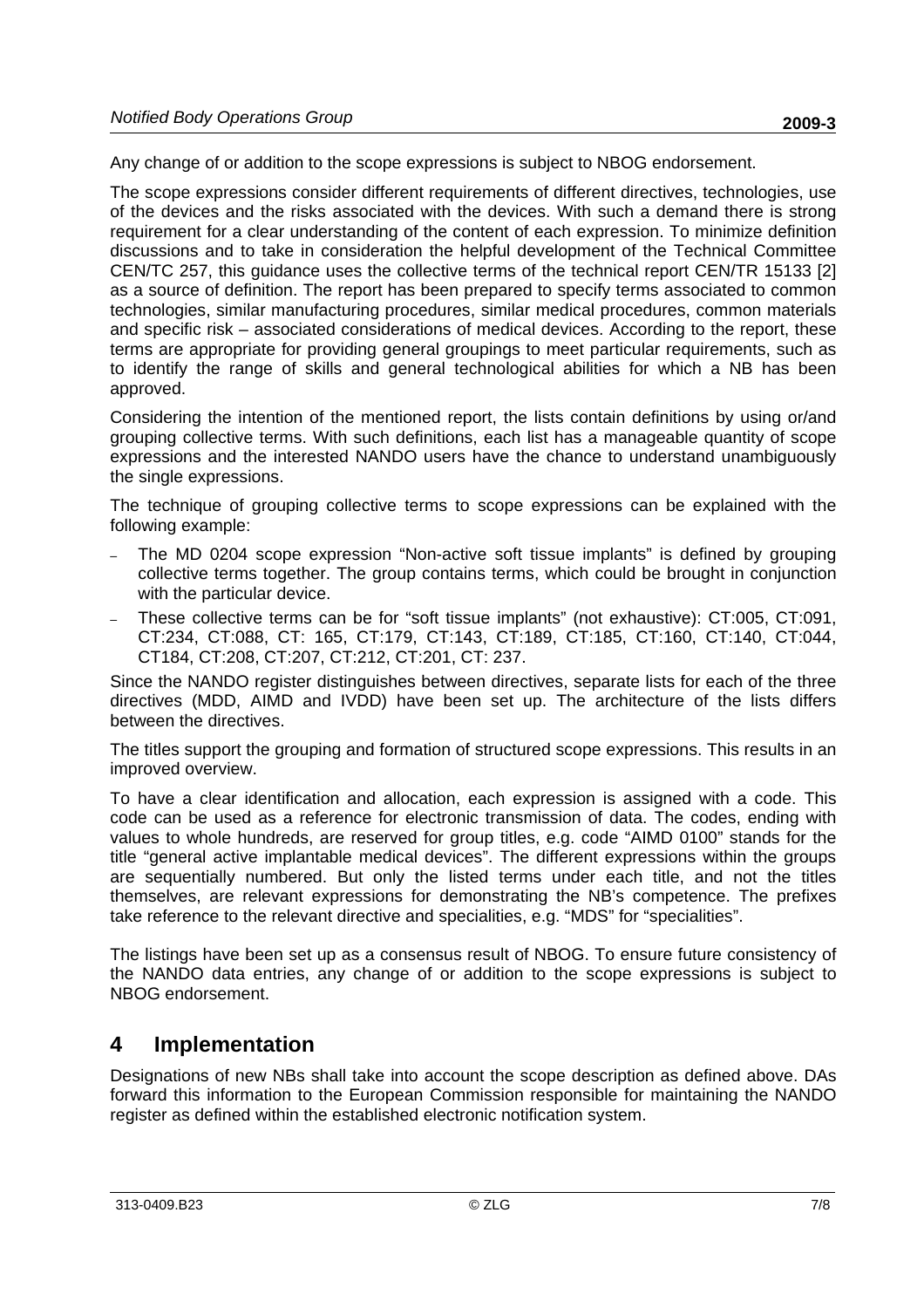Any change of or addition to the scope expressions is subject to NBOG endorsement.

The scope expressions consider different requirements of different directives, technologies, use of the devices and the risks associated with the devices. With such a demand there is strong requirement for a clear understanding of the content of each expression. To minimize definition discussions and to take in consideration the helpful development of the Technical Committee CEN/TC 257, this guidance uses the collective terms of the technical report CEN/TR 15133 [2] as a source of definition. The report has been prepared to specify terms associated to common technologies, similar manufacturing procedures, similar medical procedures, common materials and specific risk – associated considerations of medical devices. According to the report, these terms are appropriate for providing general groupings to meet particular requirements, such as to identify the range of skills and general technological abilities for which a NB has been approved.

Considering the intention of the mentioned report, the lists contain definitions by using or/and grouping collective terms. With such definitions, each list has a manageable quantity of scope expressions and the interested NANDO users have the chance to understand unambiguously the single expressions.

The technique of grouping collective terms to scope expressions can be explained with the following example:

- The MD 0204 scope expression "Non-active soft tissue implants" is defined by grouping collective terms together. The group contains terms, which could be brought in conjunction with the particular device.
- These collective terms can be for "soft tissue implants" (not exhaustive): CT:005, CT:091, CT:234, CT:088, CT: 165, CT:179, CT:143, CT:189, CT:185, CT:160, CT:140, CT:044, CT184, CT:208, CT:207, CT:212, CT:201, CT: 237.

Since the NANDO register distinguishes between directives, separate lists for each of the three directives (MDD, AIMD and IVDD) have been set up. The architecture of the lists differs between the directives.

The titles support the grouping and formation of structured scope expressions. This results in an improved overview.

To have a clear identification and allocation, each expression is assigned with a code. This code can be used as a reference for electronic transmission of data. The codes, ending with values to whole hundreds, are reserved for group titles, e.g. code "AIMD 0100" stands for the title "general active implantable medical devices". The different expressions within the groups are sequentially numbered. But only the listed terms under each title, and not the titles themselves, are relevant expressions for demonstrating the NB's competence. The prefixes take reference to the relevant directive and specialities, e.g. "MDS" for "specialities".

The listings have been set up as a consensus result of NBOG. To ensure future consistency of the NANDO data entries, any change of or addition to the scope expressions is subject to NBOG endorsement.

## **4 Implementation**

Designations of new NBs shall take into account the scope description as defined above. DAs forward this information to the European Commission responsible for maintaining the NANDO register as defined within the established electronic notification system.